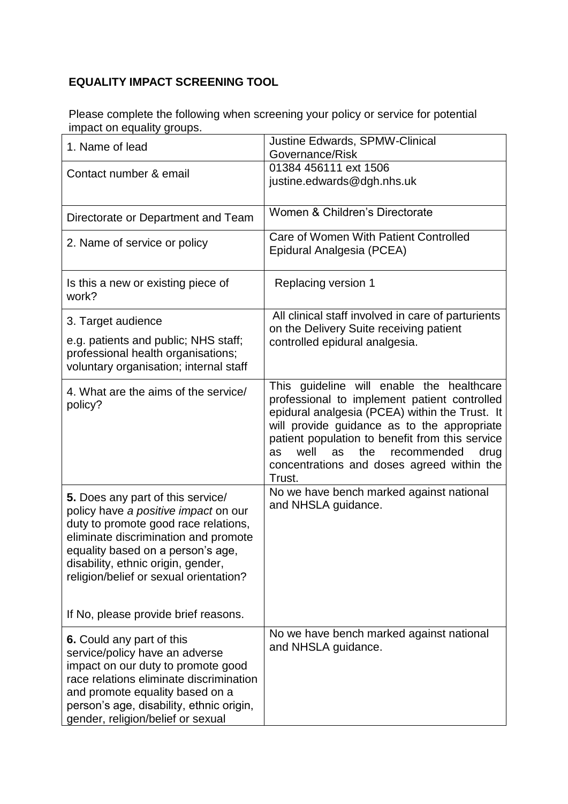## **EQUALITY IMPACT SCREENING TOOL**

Please complete the following when screening your policy or service for potential impact on equality groups.

| 1. Name of lead                                                                                                                                                                                                                                                                | Justine Edwards, SPMW-Clinical<br>Governance/Risk                                                                                                                                                                                                                                                                                                       |
|--------------------------------------------------------------------------------------------------------------------------------------------------------------------------------------------------------------------------------------------------------------------------------|---------------------------------------------------------------------------------------------------------------------------------------------------------------------------------------------------------------------------------------------------------------------------------------------------------------------------------------------------------|
| Contact number & email                                                                                                                                                                                                                                                         | 01384 456111 ext 1506<br>justine.edwards@dgh.nhs.uk                                                                                                                                                                                                                                                                                                     |
| Directorate or Department and Team                                                                                                                                                                                                                                             | Women & Children's Directorate                                                                                                                                                                                                                                                                                                                          |
| 2. Name of service or policy                                                                                                                                                                                                                                                   | Care of Women With Patient Controlled<br>Epidural Analgesia (PCEA)                                                                                                                                                                                                                                                                                      |
| Is this a new or existing piece of<br>work?                                                                                                                                                                                                                                    | Replacing version 1                                                                                                                                                                                                                                                                                                                                     |
| 3. Target audience                                                                                                                                                                                                                                                             | All clinical staff involved in care of parturients<br>on the Delivery Suite receiving patient                                                                                                                                                                                                                                                           |
| e.g. patients and public; NHS staff;<br>professional health organisations;<br>voluntary organisation; internal staff                                                                                                                                                           | controlled epidural analgesia.                                                                                                                                                                                                                                                                                                                          |
| 4. What are the aims of the service/<br>policy?                                                                                                                                                                                                                                | This guideline will enable the healthcare<br>professional to implement patient controlled<br>epidural analgesia (PCEA) within the Trust. It<br>will provide guidance as to the appropriate<br>patient population to benefit from this service<br>well<br>the<br>recommended<br>as<br>as<br>drug<br>concentrations and doses agreed within the<br>Trust. |
| 5. Does any part of this service/<br>policy have a positive impact on our<br>duty to promote good race relations,<br>eliminate discrimination and promote<br>equality based on a person's age,<br>disability, ethnic origin, gender,<br>religion/belief or sexual orientation? | No we have bench marked against national<br>and NHSLA guidance.                                                                                                                                                                                                                                                                                         |
| If No, please provide brief reasons.                                                                                                                                                                                                                                           |                                                                                                                                                                                                                                                                                                                                                         |
| 6. Could any part of this<br>service/policy have an adverse<br>impact on our duty to promote good<br>race relations eliminate discrimination<br>and promote equality based on a<br>person's age, disability, ethnic origin,<br>gender, religion/belief or sexual               | No we have bench marked against national<br>and NHSLA guidance.                                                                                                                                                                                                                                                                                         |